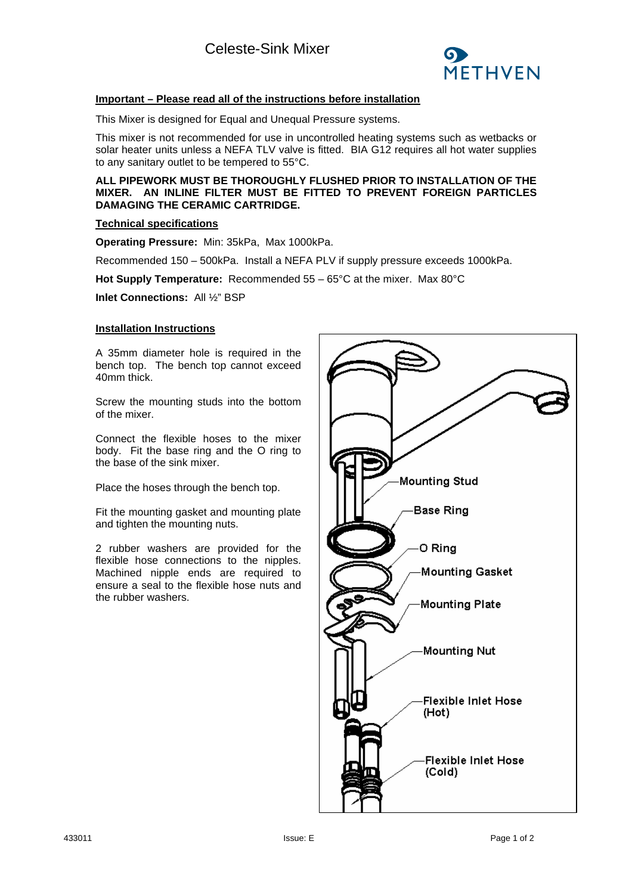

## **Important – Please read all of the instructions before installation**

This Mixer is designed for Equal and Unequal Pressure systems.

This mixer is not recommended for use in uncontrolled heating systems such as wetbacks or solar heater units unless a NEFA TLV valve is fitted. BIA G12 requires all hot water supplies to any sanitary outlet to be tempered to 55°C.

**ALL PIPEWORK MUST BE THOROUGHLY FLUSHED PRIOR TO INSTALLATION OF THE MIXER. AN INLINE FILTER MUST BE FITTED TO PREVENT FOREIGN PARTICLES DAMAGING THE CERAMIC CARTRIDGE.**

## **Technical specifications**

**Operating Pressure:** Min: 35kPa, Max 1000kPa.

Recommended 150 – 500kPa. Install a NEFA PLV if supply pressure exceeds 1000kPa.

**Hot Supply Temperature:** Recommended 55 – 65°C at the mixer. Max 80°C

**Inlet Connections:** All ½" BSP

## **Installation Instructions**

A 35mm diameter hole is required in the bench top. The bench top cannot exceed 40mm thick.

Screw the mounting studs into the bottom of the mixer.

Connect the flexible hoses to the mixer body. Fit the base ring and the O ring to the base of the sink mixer.

Place the hoses through the bench top.

Fit the mounting gasket and mounting plate and tighten the mounting nuts.

2 rubber washers are provided for the flexible hose connections to the nipples. Machined nipple ends are required to ensure a seal to the flexible hose nuts and the rubber washers.